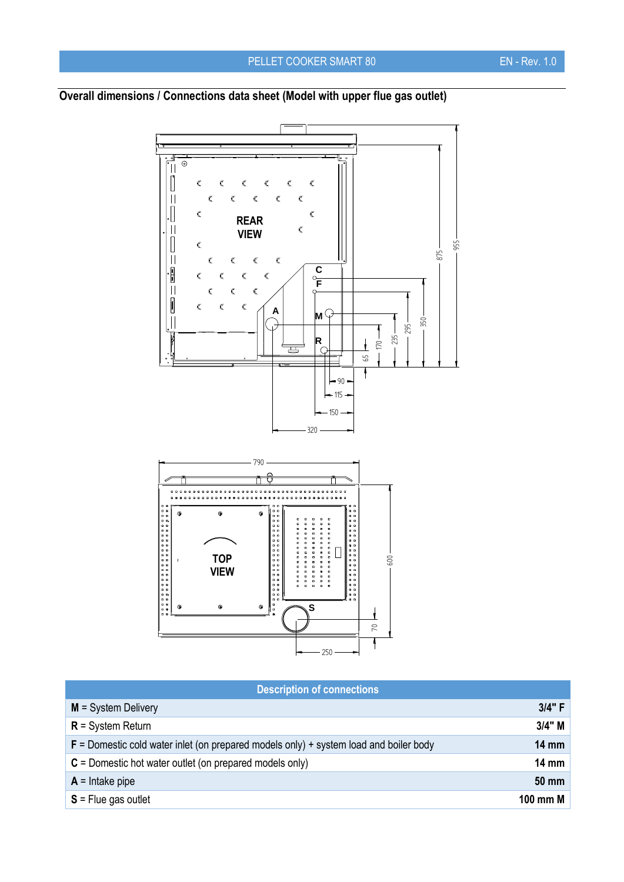## $\frac{1}{\sqrt{10}}$  $\begin{bmatrix} \phantom{-} \end{bmatrix}$  $\bar{\mathbf{C}}$  $\bar{\mathbf{C}}$  $\mathbf C$  $\epsilon$  $\epsilon$  $\mathbf{C}$  $\vert\vert$  $\mathbf c$  $\epsilon$  $\mathsf{C}$  $\epsilon$  $\hat{\mathbf{C}}$  $\cdot$  $\bar{\mathbf{C}}$  $\mathsf{C}$ **REAR**   $\vert\vert$  $\bar{\mathbf{C}}$ **VIEW** $\begin{bmatrix} \phantom{-} \end{bmatrix}$  $\mathsf{C}$ 955 875  $\vert\vert$  $\mathsf{C}$  $\bar{\bm{\zeta}}$  $\mathbf{C}$  $\mathsf{C}$ **C**  $\frac{1}{\sqrt{2}}$  $\mathsf{C}$  $\mathbf c$  $\mathbf C$  $\mathsf{C}$ **F**  $\bar{\mathsf{C}}$  $\bar{\mathbf{C}}$  $\mathsf{C}$  $\begin{tabular}{|c|c|} \hline \rule{.8cm}{.4cm} \rule{.8cm}{.4cm} \rule{.8cm}{.4cm} \rule{.8cm}{.4cm} \rule{.8cm}{.4cm} \rule{.8cm}{.4cm} \rule{.8cm}{.4cm} \rule{.8cm}{.4cm} \rule{.8cm}{.4cm} \rule{.8cm}{.4cm} \rule{.8cm}{.4cm} \rule{.8cm}{.4cm} \rule{.8cm}{.4cm} \rule{.8cm}{.4cm} \rule{.8cm}{.4cm} \rule{.8cm}{.4cm} \rule{.8cm}{.4cm} \rule{.8cm}{.4cm} \rule{.8cm}{$  $\bar{\bm{\zeta}}$  $\bar{\bm{\zeta}}$  $\bar{\varsigma}$ **A M**  $\tilde{\mathcal{L}}$ 350  $\begin{array}{c} \begin{array}{c} \text{1} \\ \text{1} \end{array} \end{array}$ 295 235  $\frac{1}{2}$ **R**  $\overline{\mathbb{E}}$ 65 ł  $-90.$ 115 150 320 790  $\odot$  $\ddot{a}$  $\ddot{\circ}$ ........... .......... ............ ........... **TOP**  600 **VIEW**  $\odot$ **S**  $\odot$  $\epsilon$  $\mathbf{r}$ 70  $\overline{\mathsf{f}}$

## **Overall dimensions / Connections data sheet (Model with upper flue gas outlet)**

|  | <b>Description of connections</b> |
|--|-----------------------------------|
|  |                                   |
|  |                                   |

 $-250$ 

| $M = System$ Delivery                                                                   | 3/4" F          |
|-----------------------------------------------------------------------------------------|-----------------|
| $R =$ System Return                                                                     | $3/4$ " M       |
| $F =$ Domestic cold water inlet (on prepared models only) + system load and boiler body | $14 \text{ mm}$ |
| $C =$ Domestic hot water outlet (on prepared models only)                               | $14 \text{ mm}$ |
| $A =$ Intake pipe                                                                       | 50 mm           |
| $S =$ Flue gas outlet                                                                   | 100 mm M        |
|                                                                                         |                 |